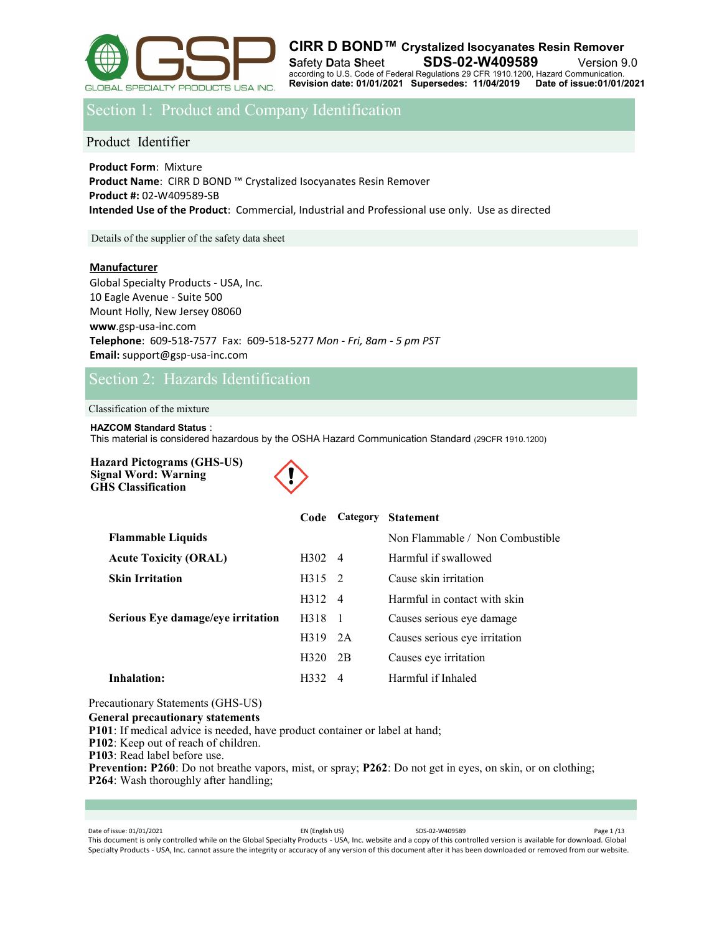

Section 1: Product and Company Identification

Product Identifier

**Product Form**: Mixture **Product Name**: CIRR D BOND ™ Crystalized Isocyanates Resin Remover **Product #:** 02-W409589-SB **Intended Use of the Product**: Commercial, Industrial and Professional use only. Use as directed

Details of the supplier of the safety data sheet

### **Manufacturer**

Global Specialty Products - USA, Inc. 10 Eagle Avenue - Suite 500 Mount Holly, New Jersey 08060 **www**.gsp-usa-inc.com **Telephone**: 609-518-7577 Fax: 609-518-5277 *Mon - Fri, 8am - 5 pm PST* **Email:** support@gsp-usa-inc.com

# Section 2: Hazards Identification

Classification of the mixture

### **HAZCOM Standard Status** :

This material is considered hazardous by the OSHA Hazard Communication Standard (29CFR 1910.1200)

**Hazard Pictograms (GHS-US) Signal Word: Warning GHS Classification**



|                                   | Code             |                | Category Statement              |
|-----------------------------------|------------------|----------------|---------------------------------|
| <b>Flammable Liquids</b>          |                  |                | Non Flammable / Non Combustible |
| <b>Acute Toxicity (ORAL)</b>      | $H_302 \quad 4$  |                | Harmful if swallowed            |
| <b>Skin Irritation</b>            | $H315 \quad 2$   |                | Cause skin irritation           |
|                                   | H312 4           |                | Harmful in contact with skin    |
| Serious Eye damage/eye irritation | H318             | $\overline{1}$ | Causes serious eye damage       |
|                                   | $H319$ 2A        |                | Causes serious eye irritation   |
|                                   | H <sub>320</sub> | 2B             | Causes eye irritation           |
| Inhalation:                       | H332             | -4             | Harmful if Inhaled              |
|                                   |                  |                |                                 |

Precautionary Statements (GHS-US)

### **General precautionary statements**

**P101**: If medical advice is needed, have product container or label at hand;

**P102**: Keep out of reach of children.

**P103**: Read label before use.

**Prevention: P260**: Do not breathe vapors, mist, or spray; **P262**: Do not get in eyes, on skin, or on clothing; **P264**: Wash thoroughly after handling;

Date of issue: 01/01/2021 Page 1/13 This document is only controlled while on the Global Specialty Products - USA, Inc. website and a copy of this controlled version is available for download. Global Specialty Products - USA, Inc. cannot assure the integrity or accuracy of any version of this document after it has been downloaded or removed from our website.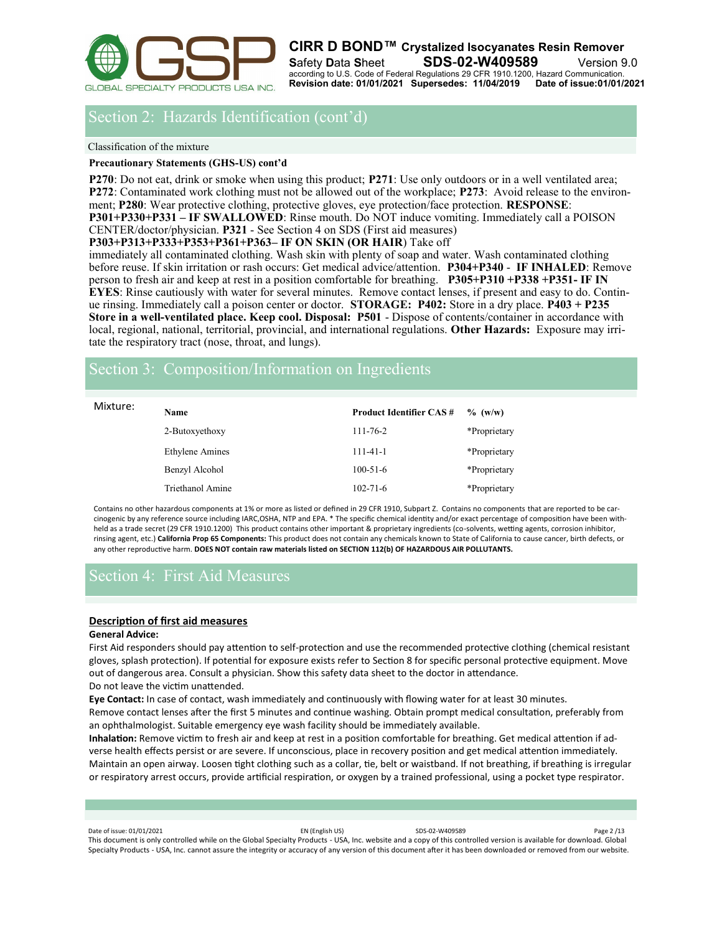

# Section 2: Hazards Identification (cont'd)

Classification of the mixture

### **Precautionary Statements (GHS-US) cont'd**

**P270**: Do not eat, drink or smoke when using this product; **P271**: Use only outdoors or in a well ventilated area; **P272**: Contaminated work clothing must not be allowed out of the workplace; **P273**: Avoid release to the environment; **P280**: Wear protective clothing, protective gloves, eye protection/face protection. **RESPONSE**: **P301+P330+P331 – IF SWALLOWED**: Rinse mouth. Do NOT induce vomiting. Immediately call a POISON CENTER/doctor/physician. **P321** - See Section 4 on SDS (First aid measures)

**P303+P313+P333+P353+P361+P363– IF ON SKIN (OR HAIR**) Take off

immediately all contaminated clothing. Wash skin with plenty of soap and water. Wash contaminated clothing before reuse. If skin irritation or rash occurs: Get medical advice/attention. **P304+P340** - **IF INHALED**: Remove person to fresh air and keep at rest in a position comfortable for breathing. **P305+P310 +P338 +P351- IF IN EYES**: Rinse cautiously with water for several minutes. Remove contact lenses, if present and easy to do. Continue rinsing. Immediately call a poison center or doctor. **STORAGE: P402:** Store in a dry place. **P403 + P235 Store in a well-ventilated place. Keep cool. Disposal: P501** - Dispose of contents/container in accordance with local, regional, national, territorial, provincial, and international regulations. **Other Hazards:** Exposure may irritate the respiratory tract (nose, throat, and lungs).

# Section 3: Composition/Information on Ingredients

| Mixture: | <b>Name</b>            | <b>Product Identifier CAS#</b> | $\%$ (w/w)   |
|----------|------------------------|--------------------------------|--------------|
|          | 2-Butoxyethoxy         | $111 - 76 - 2$                 | *Proprietary |
|          | <b>Ethylene Amines</b> | $111 - 41 - 1$                 | *Proprietary |
|          | Benzyl Alcohol         | $100 - 51 - 6$                 | *Proprietary |
|          | Triethanol Amine       | $102 - 71 - 6$                 | *Proprietary |

Contains no other hazardous components at 1% or more as listed or defined in 29 CFR 1910, Subpart Z. Contains no components that are reported to be carcinogenic by any reference source including IARC,OSHA, NTP and EPA. \* The specific chemical identity and/or exact percentage of composition have been withheld as a trade secret (29 CFR 1910.1200) This product contains other important & proprietary ingredients (co-solvents, wetting agents, corrosion inhibitor, rinsing agent, etc.) **California Prop 65 Components:** This product does not contain any chemicals known to State of California to cause cancer, birth defects, or any other reproductive harm. **DOES NOT contain raw materials listed on SECTION 112(b) OF HAZARDOUS AIR POLLUTANTS.**

# Section 4: First Aid Measures

### **Description of first aid measures**

### **General Advice:**

First Aid responders should pay attention to self-protection and use the recommended protective clothing (chemical resistant gloves, splash protection). If potential for exposure exists refer to Section 8 for specific personal protective equipment. Move out of dangerous area. Consult a physician. Show this safety data sheet to the doctor in attendance.

Do not leave the victim unattended.

**Eye Contact:** In case of contact, wash immediately and continuously with flowing water for at least 30 minutes.

Remove contact lenses after the first 5 minutes and continue washing. Obtain prompt medical consultation, preferably from an ophthalmologist. Suitable emergency eye wash facility should be immediately available.

**Inhalation:** Remove victim to fresh air and keep at rest in a position comfortable for breathing. Get medical attention if adverse health effects persist or are severe. If unconscious, place in recovery position and get medical attention immediately. Maintain an open airway. Loosen tight clothing such as a collar, tie, belt or waistband. If not breathing, if breathing is irregular or respiratory arrest occurs, provide artificial respiration, or oxygen by a trained professional, using a pocket type respirator.

Date of issue: 01/01/2021 Page 2 /13 This document is only controlled while on the Global Specialty Products - USA, Inc. website and a copy of this controlled version is available for download. Global Specialty Products - USA, Inc. cannot assure the integrity or accuracy of any version of this document after it has been downloaded or removed from our website.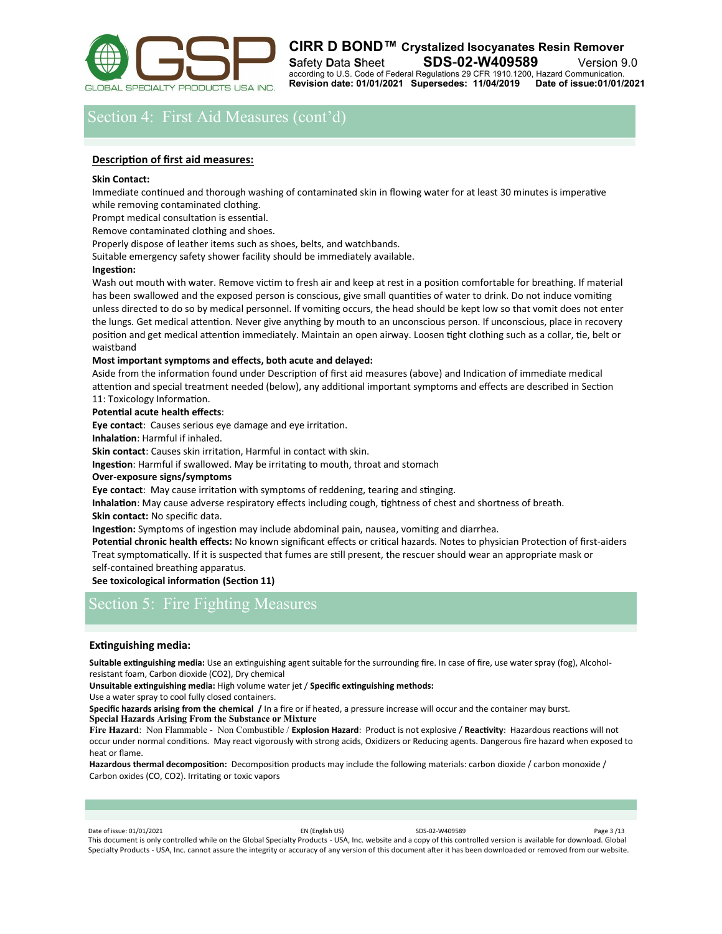

# Section 4: First Aid Measures (cont'd)

### **Description of first aid measures:**

### **Skin Contact:**

Immediate continued and thorough washing of contaminated skin in flowing water for at least 30 minutes is imperative while removing contaminated clothing.

Prompt medical consultation is essential.

Remove contaminated clothing and shoes.

Properly dispose of leather items such as shoes, belts, and watchbands.

Suitable emergency safety shower facility should be immediately available.

### **Ingestion:**

Wash out mouth with water. Remove victim to fresh air and keep at rest in a position comfortable for breathing. If material has been swallowed and the exposed person is conscious, give small quantities of water to drink. Do not induce vomiting unless directed to do so by medical personnel. If vomiting occurs, the head should be kept low so that vomit does not enter the lungs. Get medical attention. Never give anything by mouth to an unconscious person. If unconscious, place in recovery position and get medical attention immediately. Maintain an open airway. Loosen tight clothing such as a collar, tie, belt or waistband

### **Most important symptoms and effects, both acute and delayed:**

Aside from the information found under Description of first aid measures (above) and Indication of immediate medical attention and special treatment needed (below), any additional important symptoms and effects are described in Section 11: Toxicology Information.

### **Potential acute health effects**:

**Eye contact**: Causes serious eye damage and eye irritation.

**Inhalation**: Harmful if inhaled.

**Skin contact**: Causes skin irritation, Harmful in contact with skin.

**Ingestion**: Harmful if swallowed. May be irritating to mouth, throat and stomach

### **Over-exposure signs/symptoms**

**Eye contact**: May cause irritation with symptoms of reddening, tearing and stinging.

**Inhalation**: May cause adverse respiratory effects including cough, tightness of chest and shortness of breath. **Skin contact:** No specific data.

**Ingestion:** Symptoms of ingestion may include abdominal pain, nausea, vomiting and diarrhea.

**Potential chronic health effects:** No known significant effects or critical hazards. Notes to physician Protection of first-aiders Treat symptomatically. If it is suspected that fumes are still present, the rescuer should wear an appropriate mask or self-contained breathing apparatus.

### **See toxicological information (Section 11)**

# Section 5: Fire Fighting Measures

### **Extinguishing media:**

**Suitable extinguishing media:** Use an extinguishing agent suitable for the surrounding fire. In case of fire, use water spray (fog), Alcoholresistant foam, Carbon dioxide (CO2), Dry chemical

**Unsuitable extinguishing media:** High volume water jet / **Specific extinguishing methods:** 

Use a water spray to cool fully closed containers.

**Specific hazards arising from the chemical /** In a fire or if heated, a pressure increase will occur and the container may burst. **Special Hazards Arising From the Substance or Mixture**

**Fire Hazard**: Non Flammable - Non Combustible / **Explosion Hazard**: Product is not explosive / **Reactivity**: Hazardous reactions will not occur under normal conditions. May react vigorously with strong acids, Oxidizers or Reducing agents. Dangerous fire hazard when exposed to heat or flame.

**Hazardous thermal decomposition:** Decomposition products may include the following materials: carbon dioxide / carbon monoxide / Carbon oxides (CO, CO2). Irritating or toxic vapors

### Date of issue: 01/01/2021 Page 3 /13

This document is only controlled while on the Global Specialty Products - USA, Inc. website and a copy of this controlled version is available for download. Global Specialty Products - USA, Inc. cannot assure the integrity or accuracy of any version of this document after it has been downloaded or removed from our website.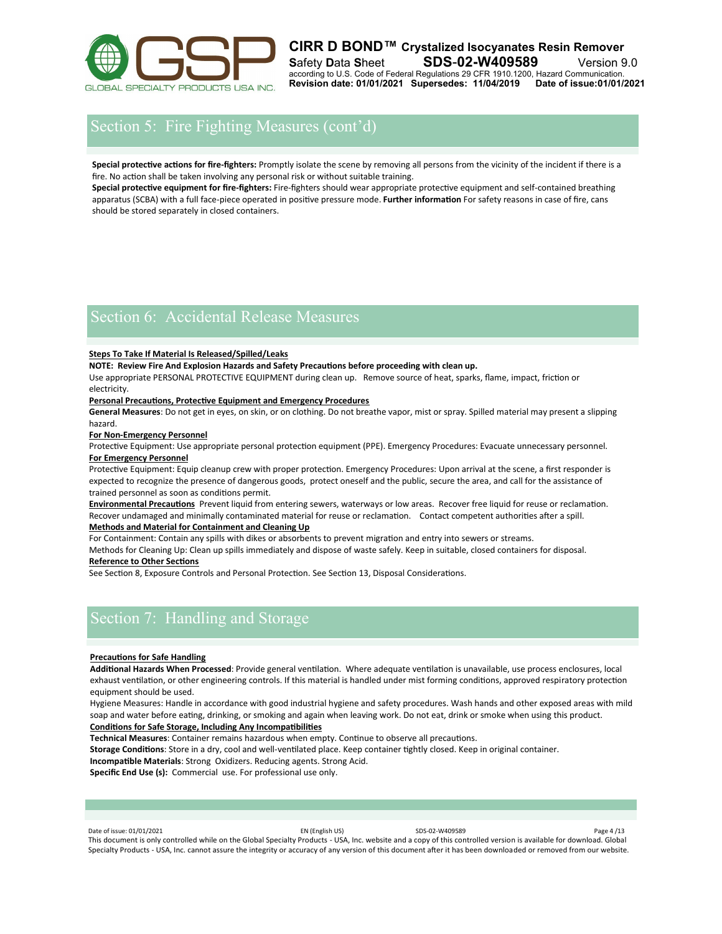

# Section 5: Fire Fighting Measures (cont'd)

**Special protective actions for fire-fighters:** Promptly isolate the scene by removing all persons from the vicinity of the incident if there is a fire. No action shall be taken involving any personal risk or without suitable training.

**Special protective equipment for fire-fighters:** Fire-fighters should wear appropriate protective equipment and self-contained breathing apparatus (SCBA) with a full face-piece operated in positive pressure mode. **Further information** For safety reasons in case of fire, cans should be stored separately in closed containers.

## Section 6: Accidental Release Measures

### **Steps To Take If Material Is Released/Spilled/Leaks**

**NOTE: Review Fire And Explosion Hazards and Safety Precautions before proceeding with clean up.** 

Use appropriate PERSONAL PROTECTIVE EQUIPMENT during clean up. Remove source of heat, sparks, flame, impact, friction or electricity.

### **Personal Precautions, Protective Equipment and Emergency Procedures**

**General Measures**: Do not get in eyes, on skin, or on clothing. Do not breathe vapor, mist or spray. Spilled material may present a slipping hazard.

**For Non-Emergency Personnel** 

Protective Equipment: Use appropriate personal protection equipment (PPE). Emergency Procedures: Evacuate unnecessary personnel. **For Emergency Personnel** 

Protective Equipment: Equip cleanup crew with proper protection. Emergency Procedures: Upon arrival at the scene, a first responder is expected to recognize the presence of dangerous goods, protect oneself and the public, secure the area, and call for the assistance of trained personnel as soon as conditions permit.

**Environmental Precautions** Prevent liquid from entering sewers, waterways or low areas. Recover free liquid for reuse or reclamation. Recover undamaged and minimally contaminated material for reuse or reclamation. Contact competent authorities after a spill. **Methods and Material for Containment and Cleaning Up** 

For Containment: Contain any spills with dikes or absorbents to prevent migration and entry into sewers or streams.

Methods for Cleaning Up: Clean up spills immediately and dispose of waste safely. Keep in suitable, closed containers for disposal. **Reference to Other Sections** 

See Section 8, Exposure Controls and Personal Protection. See Section 13, Disposal Considerations.

# Section 7: Handling and Storage

### **Precautions for Safe Handling**

**Additional Hazards When Processed**: Provide general ventilation. Where adequate ventilation is unavailable, use process enclosures, local exhaust ventilation, or other engineering controls. If this material is handled under mist forming conditions, approved respiratory protection equipment should be used.

Hygiene Measures: Handle in accordance with good industrial hygiene and safety procedures. Wash hands and other exposed areas with mild soap and water before eating, drinking, or smoking and again when leaving work. Do not eat, drink or smoke when using this product. **Conditions for Safe Storage, Including Any Incompatibilities** 

**Technical Measures**: Container remains hazardous when empty. Continue to observe all precautions.

**Storage Conditions**: Store in a dry, cool and well‐ventilated place. Keep container tightly closed. Keep in original container.

**Incompatible Materials**: Strong Oxidizers. Reducing agents. Strong Acid.

**Specific End Use (s):** Commercial use. For professional use only.

Date of issue: 01/01/2021 Page 4 /13

This document is only controlled while on the Global Specialty Products - USA, Inc. website and a copy of this controlled version is available for download. Global Specialty Products - USA, Inc. cannot assure the integrity or accuracy of any version of this document after it has been downloaded or removed from our website.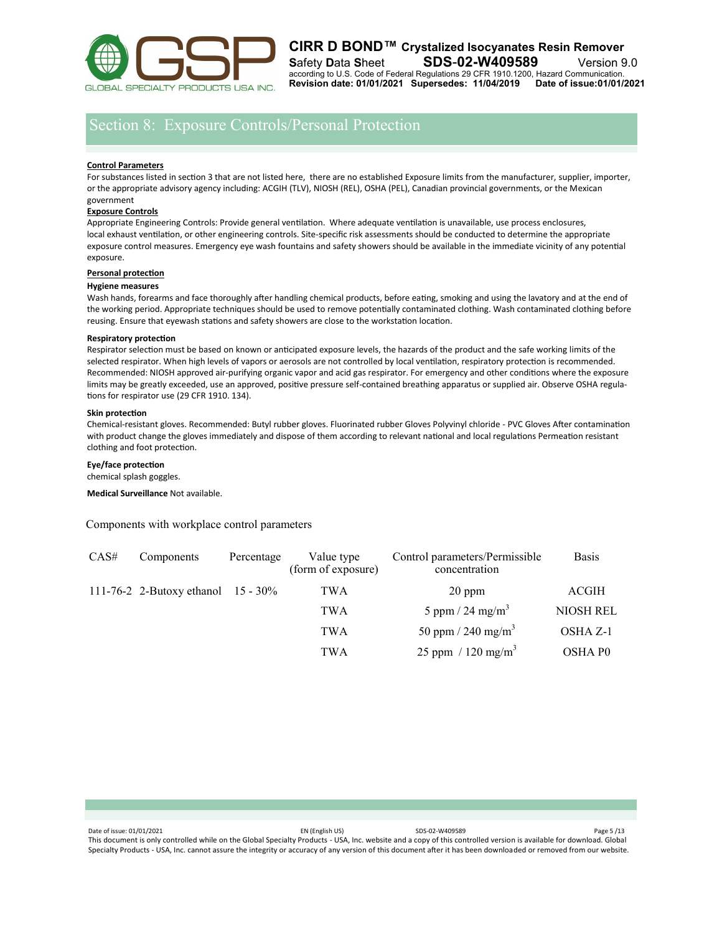

# Section 8: Exposure Controls/Personal Protection

### **Control Parameters**

For substances listed in section 3 that are not listed here, there are no established Exposure limits from the manufacturer, supplier, importer, or the appropriate advisory agency including: ACGIH (TLV), NIOSH (REL), OSHA (PEL), Canadian provincial governments, or the Mexican government

### **Exposure Controls**

Appropriate Engineering Controls: Provide general ventilation. Where adequate ventilation is unavailable, use process enclosures, local exhaust ventilation, or other engineering controls. Site‐specific risk assessments should be conducted to determine the appropriate exposure control measures. Emergency eye wash fountains and safety showers should be available in the immediate vicinity of any potential exposure.

### **Personal protection**

### **Hygiene measures**

Wash hands, forearms and face thoroughly after handling chemical products, before eating, smoking and using the lavatory and at the end of the working period. Appropriate techniques should be used to remove potentially contaminated clothing. Wash contaminated clothing before reusing. Ensure that eyewash stations and safety showers are close to the workstation location.

### **Respiratory protection**

Respirator selection must be based on known or anticipated exposure levels, the hazards of the product and the safe working limits of the selected respirator. When high levels of vapors or aerosols are not controlled by local ventilation, respiratory protection is recommended. Recommended: NIOSH approved air-purifying organic vapor and acid gas respirator. For emergency and other conditions where the exposure limits may be greatly exceeded, use an approved, positive pressure self-contained breathing apparatus or supplied air. Observe OSHA regulations for respirator use (29 CFR 1910. 134).

### **Skin protection**

Chemical-resistant gloves. Recommended: Butyl rubber gloves. Fluorinated rubber Gloves Polyvinyl chloride - PVC Gloves After contamination with product change the gloves immediately and dispose of them according to relevant national and local regulations Permeation resistant clothing and foot protection.

### **Eye/face protection**

chemical splash goggles.

**Medical Surveillance** Not available.

Components with workplace control parameters

| CAS# | Components                            | Percentage | Value type<br>(form of exposure) | Control parameters/Permissible<br>concentration | <b>Basis</b>     |
|------|---------------------------------------|------------|----------------------------------|-------------------------------------------------|------------------|
|      | 111-76-2 2-Butoxy ethanol $15 - 30\%$ |            | <b>TWA</b>                       | $20$ ppm                                        | ACGIH            |
|      |                                       |            | <b>TWA</b>                       | 5 ppm / 24 mg/m <sup>3</sup>                    | <b>NIOSH REL</b> |
|      |                                       |            | <b>TWA</b>                       | 50 ppm / 240 mg/m <sup>3</sup>                  | OSHA Z-1         |
|      |                                       |            | TWA                              | 25 ppm / 120 mg/m <sup>3</sup>                  | OSHA P0          |

| Date of issue: 01/01/2021                                                                                                                                           | EN (English US) | SDS-02-W409589 | Page 5/13 |
|---------------------------------------------------------------------------------------------------------------------------------------------------------------------|-----------------|----------------|-----------|
| This document is only controlled while on the Global Specialty Products - USA, Inc. website and a copy of this controlled version is available for download. Global |                 |                |           |
| Specialty Products - USA, Inc. cannot assure the integrity or accuracy of any version of this document after it has been downloaded or removed from our website.    |                 |                |           |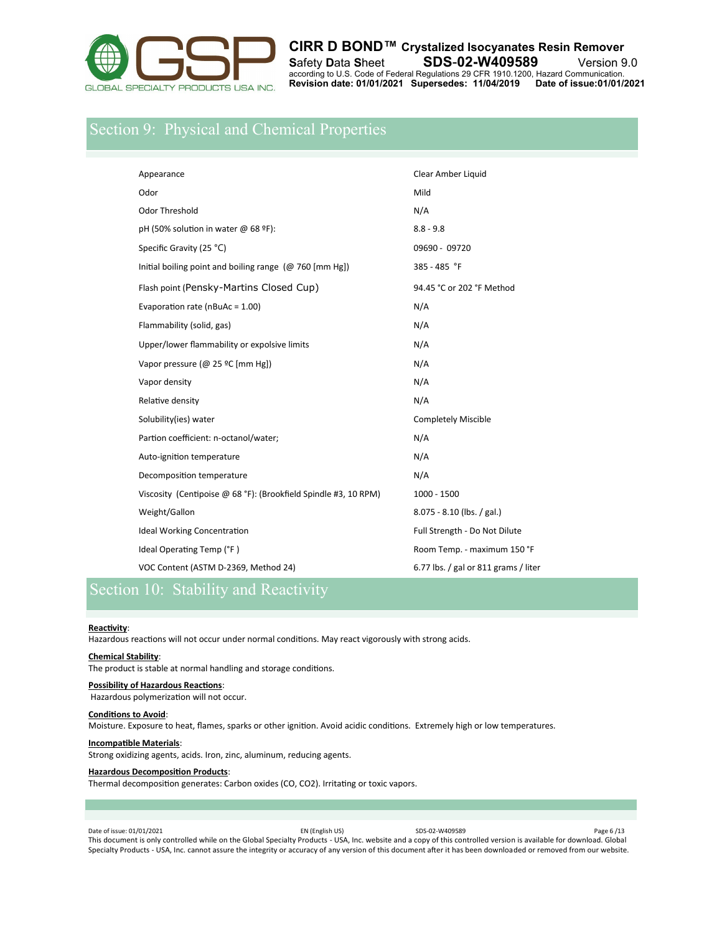

# Section 9: Physical and Chemical Properties

| Appearance                                                      | Clear Amber Liquid                   |
|-----------------------------------------------------------------|--------------------------------------|
| Odor                                                            | Mild                                 |
| <b>Odor Threshold</b>                                           | N/A                                  |
| pH (50% solution in water @ 68 ºF):                             | $8.8 - 9.8$                          |
| Specific Gravity (25 °C)                                        | 09690 - 09720                        |
| Initial boiling point and boiling range ( $@760$ [mm Hg])       | 385 - 485 °F                         |
| Flash point (Pensky-Martins Closed Cup)                         | 94.45 °C or 202 °F Method            |
| Evaporation rate (nBuAc = 1.00)                                 | N/A                                  |
| Flammability (solid, gas)                                       | N/A                                  |
| Upper/lower flammability or expolsive limits                    | N/A                                  |
| Vapor pressure (@ 25 °C [mm Hg])                                | N/A                                  |
| Vapor density                                                   | N/A                                  |
| Relative density                                                | N/A                                  |
| Solubility(ies) water                                           | <b>Completely Miscible</b>           |
| Partion coefficient: n-octanol/water;                           | N/A                                  |
| Auto-ignition temperature                                       | N/A                                  |
| Decomposition temperature                                       | N/A                                  |
| Viscosity (Centipoise @ 68 °F): (Brookfield Spindle #3, 10 RPM) | $1000 - 1500$                        |
| Weight/Gallon                                                   | 8.075 - 8.10 (lbs. / gal.)           |
| <b>Ideal Working Concentration</b>                              | Full Strength - Do Not Dilute        |
| Ideal Operating Temp (°F)                                       | Room Temp. - maximum 150 °F          |
| VOC Content (ASTM D-2369, Method 24)                            | 6.77 lbs. / gal or 811 grams / liter |

# Section 10: Stability and Reactivity

### **Reactivity**:

Hazardous reactions will not occur under normal conditions. May react vigorously with strong acids.

### **Chemical Stability**:

The product is stable at normal handling and storage conditions.

### **Possibility of Hazardous Reactions**:

Hazardous polymerization will not occur.

### **Conditions to Avoid**:

Moisture. Exposure to heat, flames, sparks or other ignition. Avoid acidic conditions. Extremely high or low temperatures.

### **Incompatible Materials**:

Strong oxidizing agents, acids. Iron, zinc, aluminum, reducing agents.

### **Hazardous Decomposition Products**:

Thermal decomposition generates: Carbon oxides (CO, CO2). Irritating or toxic vapors.

Date of issue: 01/01/2021 EN (English US) SDS-02-W409589 Page 6 /13 This document is only controlled while on the Global Specialty Products - USA, Inc. website and a copy of this controlled version is available for download. Global Specialty Products - USA, Inc. cannot assure the integrity or accuracy of any version of this document after it has been downloaded or removed from our website.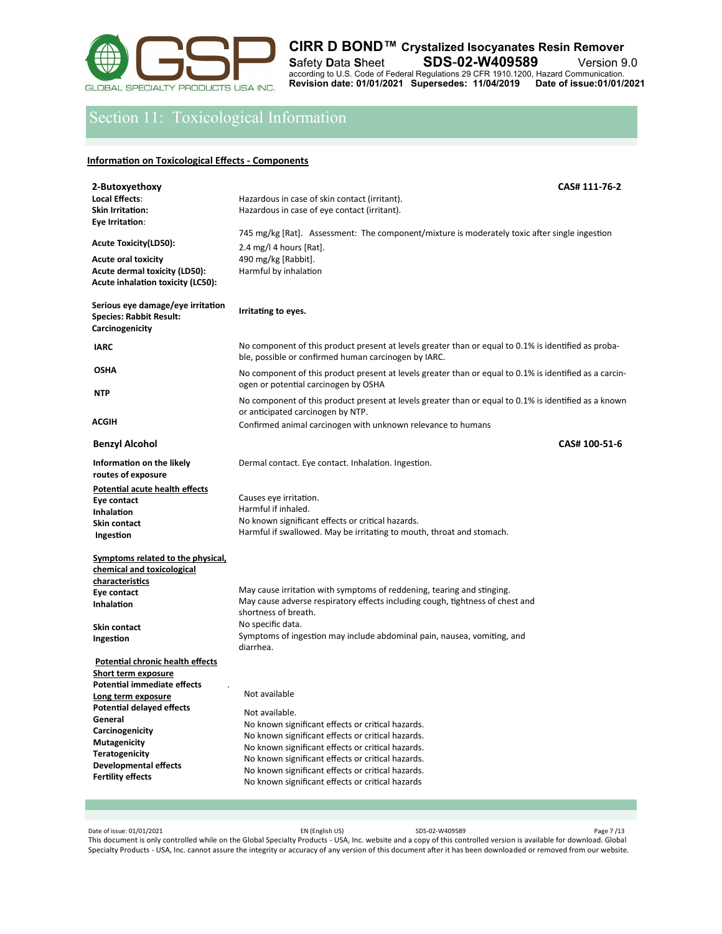

# Section 11: Toxicological Information

### **Information on Toxicological Effects - Components**

| 2-Butoxyethoxy<br>Local Effects:<br><b>Skin Irritation:</b><br>Eye Irritation:                                                                                                            | CAS# 111-76-2<br>Hazardous in case of skin contact (irritant).<br>Hazardous in case of eye contact (irritant).                                                                                                                                                                                                                                               |
|-------------------------------------------------------------------------------------------------------------------------------------------------------------------------------------------|--------------------------------------------------------------------------------------------------------------------------------------------------------------------------------------------------------------------------------------------------------------------------------------------------------------------------------------------------------------|
| Acute Toxicity(LD50):<br><b>Acute oral toxicity</b><br>Acute dermal toxicity (LD50):<br><b>Acute inhalation toxicity (LC50):</b>                                                          | 745 mg/kg [Rat]. Assessment: The component/mixture is moderately toxic after single ingestion<br>2.4 mg/l 4 hours [Rat].<br>490 mg/kg [Rabbit].<br>Harmful by inhalation                                                                                                                                                                                     |
| Serious eye damage/eye irritation<br><b>Species: Rabbit Result:</b><br>Carcinogenicity                                                                                                    | Irritating to eyes.                                                                                                                                                                                                                                                                                                                                          |
| <b>IARC</b>                                                                                                                                                                               | No component of this product present at levels greater than or equal to 0.1% is identified as proba-<br>ble, possible or confirmed human carcinogen by IARC.                                                                                                                                                                                                 |
| OSHA                                                                                                                                                                                      | No component of this product present at levels greater than or equal to 0.1% is identified as a carcin-<br>ogen or potential carcinogen by OSHA                                                                                                                                                                                                              |
| NTP                                                                                                                                                                                       | No component of this product present at levels greater than or equal to 0.1% is identified as a known<br>or anticipated carcinogen by NTP.                                                                                                                                                                                                                   |
| ACGIH                                                                                                                                                                                     | Confirmed animal carcinogen with unknown relevance to humans                                                                                                                                                                                                                                                                                                 |
| <b>Benzyl Alcohol</b>                                                                                                                                                                     | CAS# 100-51-6                                                                                                                                                                                                                                                                                                                                                |
| Information on the likely<br>routes of exposure                                                                                                                                           | Dermal contact. Eye contact. Inhalation. Ingestion.                                                                                                                                                                                                                                                                                                          |
| Potential acute health effects<br>Eye contact<br><b>Inhalation</b><br>Skin contact<br>Ingestion                                                                                           | Causes eye irritation.<br>Harmful if inhaled.<br>No known significant effects or critical hazards.<br>Harmful if swallowed. May be irritating to mouth, throat and stomach.                                                                                                                                                                                  |
| Symptoms related to the physical,<br>chemical and toxicological<br>characteristics                                                                                                        |                                                                                                                                                                                                                                                                                                                                                              |
| Eye contact<br>Inhalation                                                                                                                                                                 | May cause irritation with symptoms of reddening, tearing and stinging.<br>May cause adverse respiratory effects including cough, tightness of chest and<br>shortness of breath.                                                                                                                                                                              |
| Skin contact<br>Ingestion                                                                                                                                                                 | No specific data.<br>Symptoms of ingestion may include abdominal pain, nausea, vomiting, and<br>diarrhea.                                                                                                                                                                                                                                                    |
| <u>Potential chronic health effects</u><br>Short term exposure<br><b>Potential immediate effects</b>                                                                                      |                                                                                                                                                                                                                                                                                                                                                              |
| Long term exposure<br><b>Potential delayed effects</b><br>General<br>Carcinogenicity<br>Mutagenicity<br><b>Teratogenicity</b><br><b>Developmental effects</b><br><b>Fertility effects</b> | Not available<br>Not available.<br>No known significant effects or critical hazards.<br>No known significant effects or critical hazards.<br>No known significant effects or critical hazards.<br>No known significant effects or critical hazards.<br>No known significant effects or critical hazards.<br>No known significant effects or critical hazards |

Date of issue: 01/01/2021 EN (English US) SDS-02-W409589 Page 7 /13 This document is only controlled while on the Global Specialty Products - USA, Inc. website and a copy of this controlled version is available for download. Global Specialty Products - USA, Inc. cannot assure the integrity or accuracy of any version of this document after it has been downloaded or removed from our website.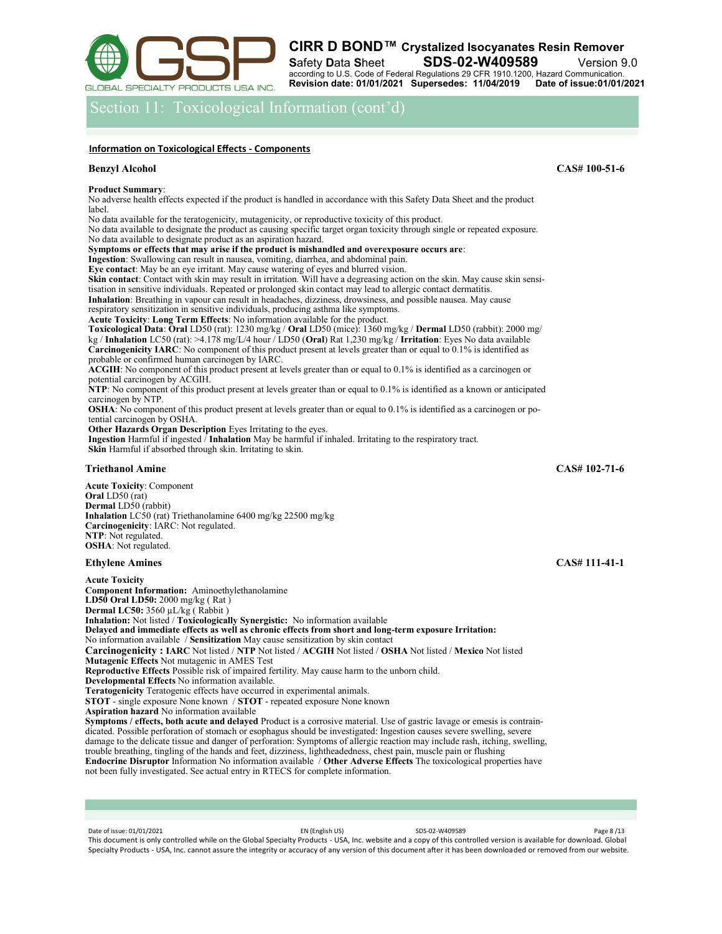

Section 11: Toxicological Information (cont'd)

### **Information on Toxicological Effects - Components**

**Product Summary**:

No adverse health effects expected if the product is handled in accordance with this Safety Data Sheet and the product label.

No data available for the teratogenicity, mutagenicity, or reproductive toxicity of this product.

No data available to designate the product as causing specific target organ toxicity through single or repeated exposure. No data available to designate product as an aspiration hazard.

**Symptoms or effects that may arise if the product is mishandled and overexposure occurs are**:

**Ingestion**: Swallowing can result in nausea, vomiting, diarrhea, and abdominal pain.

**Eye contact**: May be an eye irritant. May cause watering of eyes and blurred vision.

**Skin contact**: Contact with skin may result in irritation. Will have a degreasing action on the skin. May cause skin sensitisation in sensitive individuals. Repeated or prolonged skin contact may lead to allergic contact dermatitis. **Inhalation**: Breathing in vapour can result in headaches, dizziness, drowsiness, and possible nausea. May cause

respiratory sensitization in sensitive individuals, producing asthma like symptoms.

**Acute Toxicity**: **Long Term Effects**: No information available for the product.

**Toxicological Data**: **Oral** LD50 (rat): 1230 mg/kg / **Oral** LD50 (mice): 1360 mg/kg / **Dermal** LD50 (rabbit): 2000 mg/ kg / **Inhalation** LC50 (rat): >4.178 mg/L/4 hour / LD50 (**Oral**) Rat 1,230 mg/kg / **Irritation**: Eyes No data available **Carcinogenicity IARC**: No component of this product present at levels greater than or equal to 0.1% is identified as

probable or confirmed human carcinogen by IARC.

**ACGIH**: No component of this product present at levels greater than or equal to 0.1% is identified as a carcinogen or potential carcinogen by ACGIH.

**NTP**: No component of this product present at levels greater than or equal to 0.1% is identified as a known or anticipated carcinogen by NTP.

**OSHA:** No component of this product present at levels greater than or equal to 0.1% is identified as a carcinogen or potential carcinogen by OSHA.

**Other Hazards Organ Description** Eyes Irritating to the eyes.

**Ingestion** Harmful if ingested / **Inhalation** May be harmful if inhaled. Irritating to the respiratory tract. **Skin** Harmful if absorbed through skin. Irritating to skin.

## **Triethanol Amine CAS# 102-71-6**

**Acute Toxicity**: Component **Oral** LD50 (rat) **Dermal** LD50 (rabbit) **Inhalation** LC50 (rat) Triethanolamine 6400 mg/kg 22500 mg/kg **Carcinogenicity**: IARC: Not regulated. **NTP**: Not regulated. **OSHA**: Not regulated.

**Acute Toxicity** 

**Component Information:** Aminoethylethanolamine **LD50 Oral LD50:** 2000 mg/kg ( Rat ) **Dermal LC50:** 3560 µL/kg ( Rabbit ) **Inhalation:** Not listed / **Toxicologically Synergistic:** No information available **Delayed and immediate effects as well as chronic effects from short and long-term exposure Irritation:**  No information available / **Sensitization** May cause sensitization by skin contact **Carcinogenicity : IARC** Not listed / **NTP** Not listed / **ACGIH** Not listed / **OSHA** Not listed / **Mexico** Not listed **Mutagenic Effects** Not mutagenic in AMES Test **Reproductive Effects** Possible risk of impaired fertility. May cause harm to the unborn child. **Developmental Effects** No information available. **Teratogenicity** Teratogenic effects have occurred in experimental animals. **STOT** - single exposure None known / **STOT** - repeated exposure None known **Aspiration hazard** No information available **Symptoms / effects, both acute and delayed** Product is a corrosive material. Use of gastric lavage or emesis is contraindicated. Possible perforation of stomach or esophagus should be investigated: Ingestion causes severe swelling, severe damage to the delicate tissue and danger of perforation: Symptoms of allergic reaction may include rash, itching, swelling, trouble breathing, tingling of the hands and feet, dizziness, lightheadedness, chest pain, muscle pain or flushing **Endocrine Disruptor** Information No information available / **Other Adverse Effects** The toxicological properties have

not been fully investigated. See actual entry in RTECS for complete information.

Date of issue: 01/01/2021 Page 8 /13 This document is only controlled while on the Global Specialty Products - USA, Inc. website and a copy of this controlled version is available for download. Global Specialty Products - USA, Inc. cannot assure the integrity or accuracy of any version of this document after it has been downloaded or removed from our website.

**Benzyl Alcohol CAS# 100-51-6**

**Ethylene Amines** CAS# 111-41-1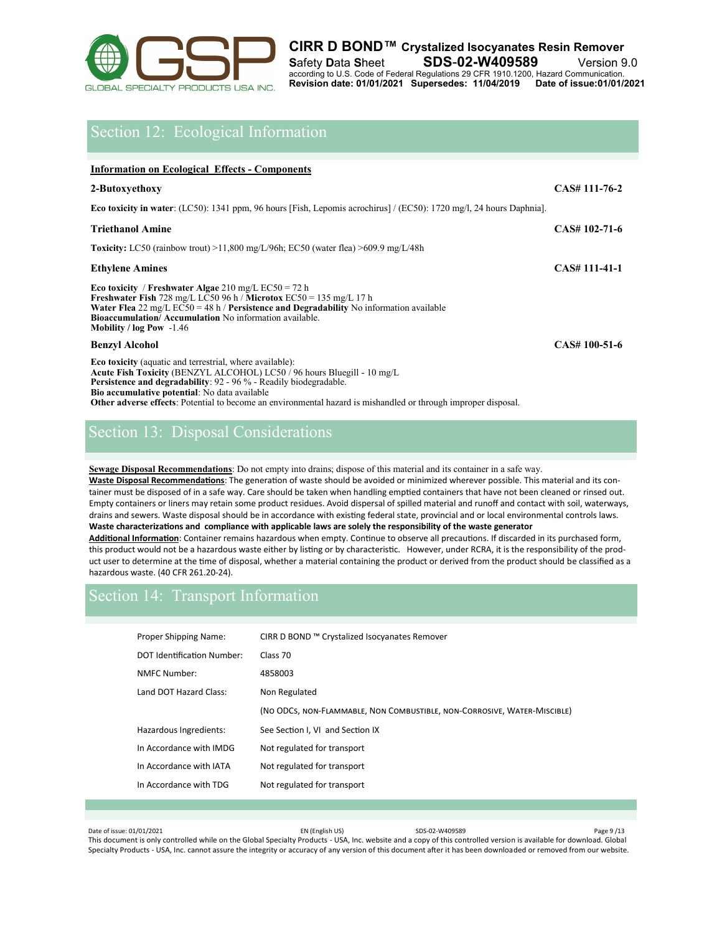

# Section 12: Ecological Information

### **Information on Ecological Effects - Components**

| 2-Butoxyethoxy                                                                                                                                                                                                                                                                                                                                                                            | CAS# 111-76-2  |
|-------------------------------------------------------------------------------------------------------------------------------------------------------------------------------------------------------------------------------------------------------------------------------------------------------------------------------------------------------------------------------------------|----------------|
| <b>Eco toxicity in water:</b> (LC50): 1341 ppm, 96 hours [Fish, Lepomis acrochirus] / (EC50): 1720 mg/l, 24 hours Daphnia].                                                                                                                                                                                                                                                               |                |
| <b>Triethanol Amine</b>                                                                                                                                                                                                                                                                                                                                                                   | $CAS#102-71-6$ |
| <b>Toxicity:</b> LC50 (rainbow trout) >11,800 mg/L/96h; EC50 (water flea) >609.9 mg/L/48h                                                                                                                                                                                                                                                                                                 |                |
| <b>Ethylene Amines</b>                                                                                                                                                                                                                                                                                                                                                                    | CAS# 111-41-1  |
| Eco toxicity / Freshwater Algae 210 mg/L EC50 = 72 h<br><b>Freshwater Fish</b> 728 mg/L LC50 96 h / <b>Microtox</b> EC50 = 135 mg/L 17 h<br><b>Water Flea</b> 22 mg/L EC50 = 48 h / <b>Persistence and Degradability</b> No information available<br><b>Bioaccumulation/Accumulation No information available.</b><br>Mobility / $log$ Pow $-1.46$                                        |                |
| <b>Benzyl Alcohol</b>                                                                                                                                                                                                                                                                                                                                                                     | CAS# 100-51-6  |
| <b>Eco toxicity</b> (aquatic and terrestrial, where available):<br>Acute Fish Toxicity (BENZYL ALCOHOL) LC50 / 96 hours Bluegill - 10 mg/L<br><b>Persistence and degradability:</b> 92 - 96 % - Readily biodegradable.<br>Bio accumulative potential: No data available<br>Other adverse effects: Potential to become an environmental hazard is mishandled or through improper disposal. |                |

# Section 13: Disposal Considerations

**Sewage Disposal Recommendations**: Do not empty into drains; dispose of this material and its container in a safe way. **Waste Disposal Recommendations**: The generation of waste should be avoided or minimized wherever possible. This material and its container must be disposed of in a safe way. Care should be taken when handling emptied containers that have not been cleaned or rinsed out. Empty containers or liners may retain some product residues. Avoid dispersal of spilled material and runoff and contact with soil, waterways, drains and sewers. Waste disposal should be in accordance with existing federal state, provincial and or local environmental controls laws. **Waste characterizations and compliance with applicable laws are solely the responsibility of the waste generator Additional Information**: Container remains hazardous when empty. Continue to observe all precautions. If discarded in its purchased form, this product would not be a hazardous waste either by listing or by characteristic. However, under RCRA, it is the responsibility of the prod-

uct user to determine at the time of disposal, whether a material containing the product or derived from the product should be classified as a hazardous waste. (40 CFR 261.20-24).

# Section 14: Transport Information

| Proper Shipping Name:      | CIRR D BOND ™ Crystalized Isocyanates Remover                            |
|----------------------------|--------------------------------------------------------------------------|
| DOT Identification Number: | Class 70                                                                 |
| NMFC Number:               | 4858003                                                                  |
| Land DOT Hazard Class:     | Non Regulated                                                            |
|                            | (NO ODCS, NON-FLAMMABLE, NON COMBUSTIBLE, NON-CORROSIVE, WATER-MISCIBLE) |
| Hazardous Ingredients:     | See Section I, VI and Section IX                                         |
| In Accordance with IMDG    | Not regulated for transport                                              |
| In Accordance with IATA    | Not regulated for transport                                              |
| In Accordance with TDG     | Not regulated for transport                                              |
|                            |                                                                          |

Date of issue: 01/01/2021 Page 9/13

This document is only controlled while on the Global Specialty Products - USA, Inc. website and a copy of this controlled version is available for download. Global Specialty Products - USA, Inc. cannot assure the integrity or accuracy of any version of this document after it has been downloaded or removed from our website.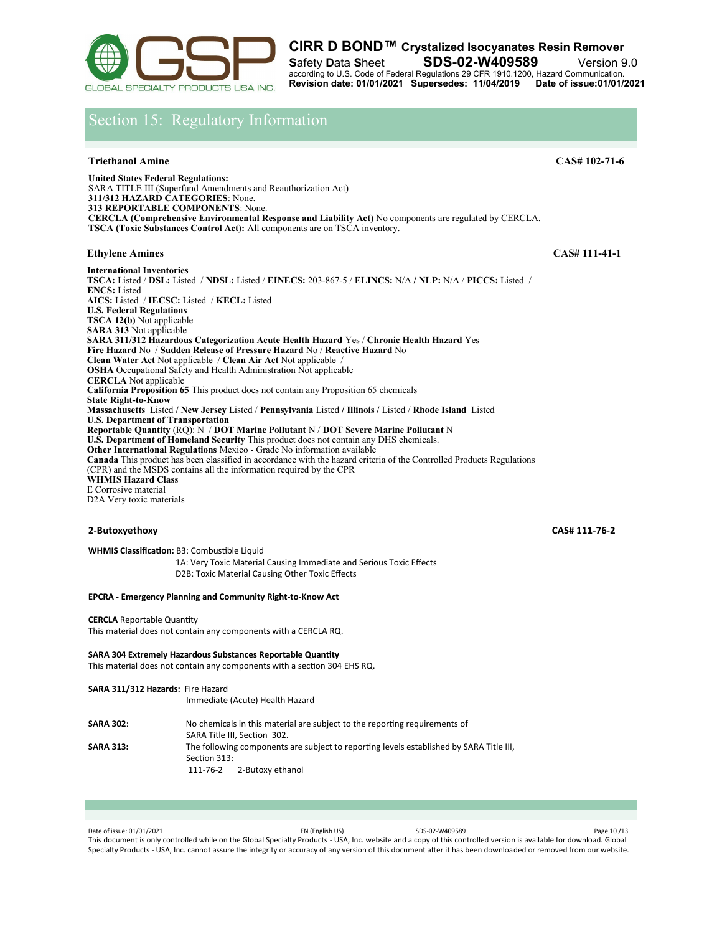

# Section 15: Regulatory Information

### **Triethanol Amine CAS# 102-71-6**

**United States Federal Regulations:**  SARA TITLE III (Superfund Amendments and Reauthorization Act) **311/312 HAZARD CATEGORIES**: None. **313 REPORTABLE COMPONENTS**: None. **CERCLA (Comprehensive Environmental Response and Liability Act)** No components are regulated by CERCLA. **TSCA (Toxic Substances Control Act):** All components are on TSCA inventory.

### **Ethylene Amines** CAS# 111-41-1

**International Inventories TSCA:** Listed / **DSL:** Listed / **NDSL:** Listed / **EINECS:** 203-867-5 / **ELINCS:** N/A **/ NLP:** N/A / **PICCS:** Listed / **ENCS:** Listed **AICS:** Listed / **IECSC:** Listed / **KECL:** Listed **U.S. Federal Regulations TSCA 12(b)** Not applicable **SARA 313** Not applicable **SARA 311/312 Hazardous Categorization Acute Health Hazard** Yes / **Chronic Health Hazard** Yes **Fire Hazard** No / **Sudden Release of Pressure Hazard** No / **Reactive Hazard** No **Clean Water Act** Not applicable / **Clean Air Act** Not applicable / **OSHA** Occupational Safety and Health Administration Not applicable **CERCLA** Not applicable **California Proposition 65** This product does not contain any Proposition 65 chemicals **State Right-to-Know Massachusetts** Listed **/ New Jersey** Listed / **Pennsylvania** Listed **/ Illinois /** Listed / **Rhode Island** Listed **U.S. Department of Transportation Reportable Quantity** (RQ): N / **DOT Marine Pollutant** N / **DOT Severe Marine Pollutant** N **U.S. Department of Homeland Security** This product does not contain any DHS chemicals. **Other International Regulations** Mexico - Grade No information available **Canada** This product has been classified in accordance with the hazard criteria of the Controlled Products Regulations (CPR) and the MSDS contains all the information required by the CPR **WHMIS Hazard Class**  E Corrosive material D2A Very toxic materials

### **2-Butoxyethoxy CAS# 111-76-2**

**WHMIS Classification:** B3: Combustible Liquid 1A: Very Toxic Material Causing Immediate and Serious Toxic Effects D2B: Toxic Material Causing Other Toxic Effects

### **EPCRA - Emergency Planning and Community Right-to-Know Act**

**CERCLA** Reportable Quantity

This material does not contain any components with a CERCLA RQ.

**SARA 304 Extremely Hazardous Substances Reportable Quantity**  This material does not contain any components with a section 304 EHS RQ.

| SARA 311/312 Hazards: Fire Hazard | Immediate (Acute) Health Hazard                                                                                                         |
|-----------------------------------|-----------------------------------------------------------------------------------------------------------------------------------------|
| <b>SARA 302:</b>                  | No chemicals in this material are subject to the reporting requirements of<br>SARA Title III, Section 302.                              |
| <b>SARA 313:</b>                  | The following components are subject to reporting levels established by SARA Title III,<br>Section 313:<br>2-Butoxy ethanol<br>111-76-2 |

Date of issue: 01/01/2021 EN (English US) SDS-02-W409589 Page 10 /13 This document is only controlled while on the Global Specialty Products - USA, Inc. website and a copy of this controlled version is available for download. Global Specialty Products - USA, Inc. cannot assure the integrity or accuracy of any version of this document after it has been downloaded or removed from our website.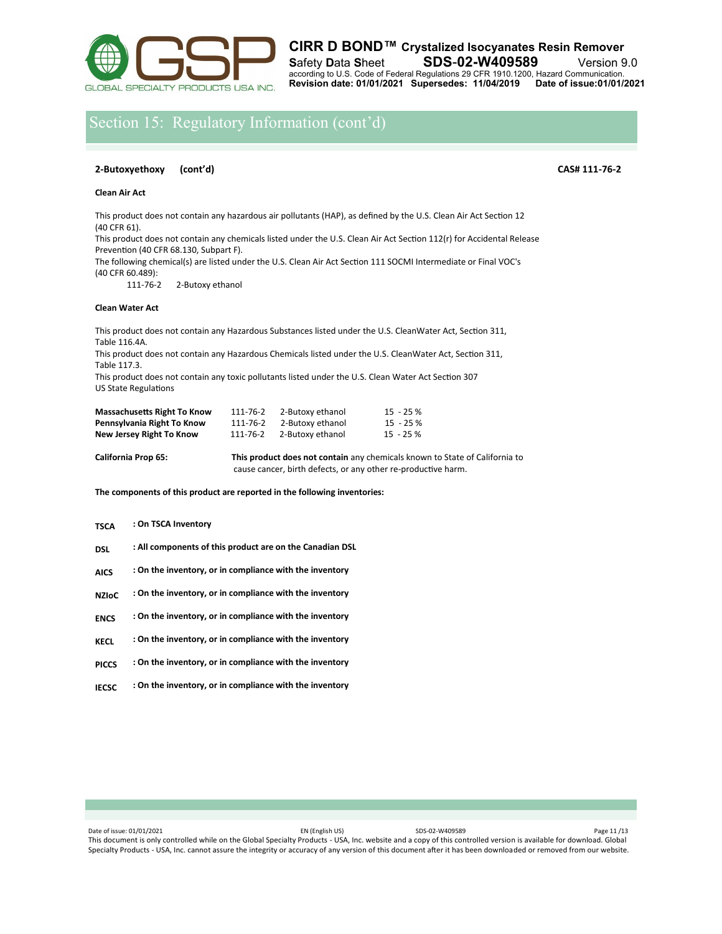

# Section 15: Regulatory Information (cont'd)

### **2-Butoxyethoxy (cont'd) CAS# 111-76-2**

**Clean Air Act** 

This product does not contain any hazardous air pollutants (HAP), as defined by the U.S. Clean Air Act Section 12 (40 CFR 61).

This product does not contain any chemicals listed under the U.S. Clean Air Act Section 112(r) for Accidental Release Prevention (40 CFR 68.130, Subpart F).

The following chemical(s) are listed under the U.S. Clean Air Act Section 111 SOCMI Intermediate or Final VOC's (40 CFR 60.489):

2-Butoxy ethanol

### **Clean Water Act**

This product does not contain any Hazardous Substances listed under the U.S. CleanWater Act, Section 311, Table 116.4A.

This product does not contain any Hazardous Chemicals listed under the U.S. CleanWater Act, Section 311, Table 117.3.

This product does not contain any toxic pollutants listed under the U.S. Clean Water Act Section 307 US State Regulations

| <b>Massachusetts Right To Know</b> | 111-76-2 | 2-Butoxy ethanol | $15 - 25%$   |
|------------------------------------|----------|------------------|--------------|
| Pennsylvania Right To Know         | 111-76-2 | 2-Butoxy ethanol | 15 - 25 %    |
| New Jersey Right To Know           | 111-76-2 | 2-Butoxy ethanol | $15 - 25 \%$ |

**California Prop 65: This product does not contain** any chemicals known to State of California to cause cancer, birth defects, or any other re-productive harm.

**The components of this product are reported in the following inventories:**

### **: On TSCA Inventory TSCA**

- **: All components of this product are on the Canadian DSL DSL**
- **: On the inventory, or in compliance with the inventory AICS**
- **: On the inventory, or in compliance with the inventory NZIoC**
- **: On the inventory, or in compliance with the inventory ENCS**
- **: On the inventory, or in compliance with the inventory KECL**
- **: On the inventory, or in compliance with the inventory PICCS**
- **: On the inventory, or in compliance with the inventory IECSC**

Date of issue: 01/01/2021 EN (English US) SDS-02-W409589 Page 11 /13 This document is only controlled while on the Global Specialty Products - USA, Inc. website and a copy of this controlled version is available for download. Global Specialty Products - USA, Inc. cannot assure the integrity or accuracy of any version of this document after it has been downloaded or removed from our website.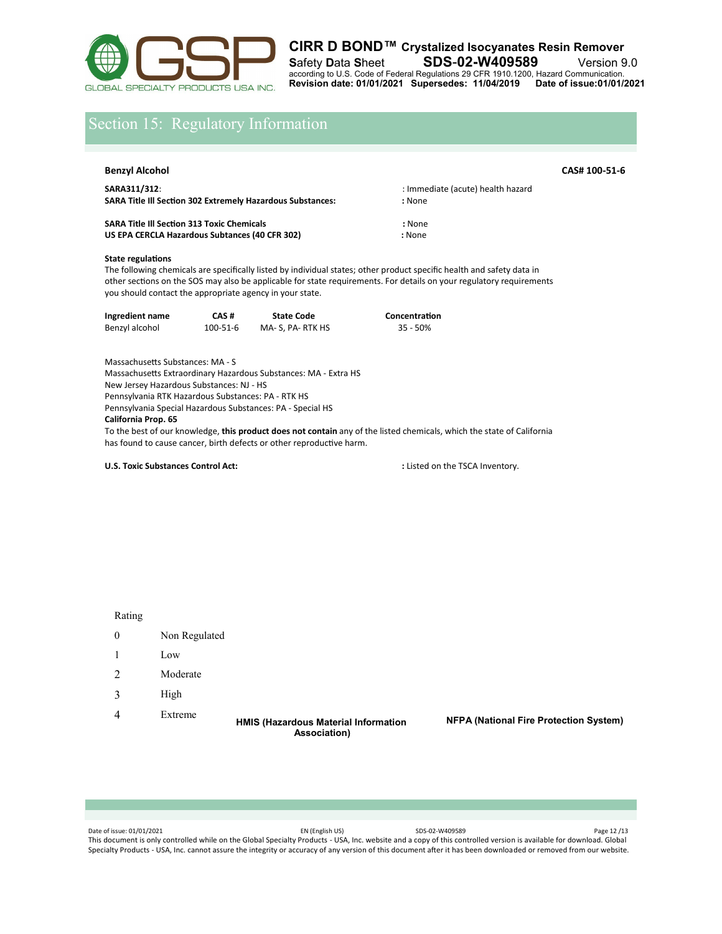

# Section 15: Regulatory Information

| Benzyl Alcohol                                                                                      | CAS# 100-51-6                               |  |
|-----------------------------------------------------------------------------------------------------|---------------------------------------------|--|
| SARA311/312:<br><b>SARA Title III Section 302 Extremely Hazardous Substances:</b>                   | : Immediate (acute) health hazard<br>: None |  |
| <b>SARA Title III Section 313 Toxic Chemicals</b><br>US EPA CERCLA Hazardous Subtances (40 CFR 302) | : None<br>: None                            |  |

### **State regulations**

The following chemicals are specifically listed by individual states; other product specific health and safety data in other sections on the SOS may also be applicable for state requirements. For details on your regulatory requirements you should contact the appropriate agency in your state.

| Ingredient name | CAS#     | <b>State Code</b> | Concentration |
|-----------------|----------|-------------------|---------------|
| Benzyl alcohol  | 100-51-6 | MA- S, PA- RTK HS | $35 - 50%$    |

Massachusetts Substances: MA - S Massachusetts Extraordinary Hazardous Substances: MA - Extra HS New Jersey Hazardous Substances: NJ - HS Pennsylvania RTK Hazardous Substances: PA - RTK HS Pennsylvania Special Hazardous Substances: PA - Special HS **California Prop. 65**  To the best of our knowledge, **this product does not contain** any of the listed chemicals, which the state of California has found to cause cancer, birth defects or other reproductive harm.

**U.S. Toxic Substances Control Act:**  $\qquad \qquad$  : Listed on the TSCA Inventory.

- 0 Non Regulated
- 1 Low
- 2 Moderate
- 3 High
- 4 Extreme

**HMIS (Hazardous Material Information Association)**

**NFPA (National Fire Protection System)**

Date of issue: 01/01/2021 Page 12 /13 This document is only controlled while on the Global Specialty Products - USA, Inc. website and a copy of this controlled version is available for download. Global Specialty Products - USA, Inc. cannot assure the integrity or accuracy of any version of this document after it has been downloaded or removed from our website.